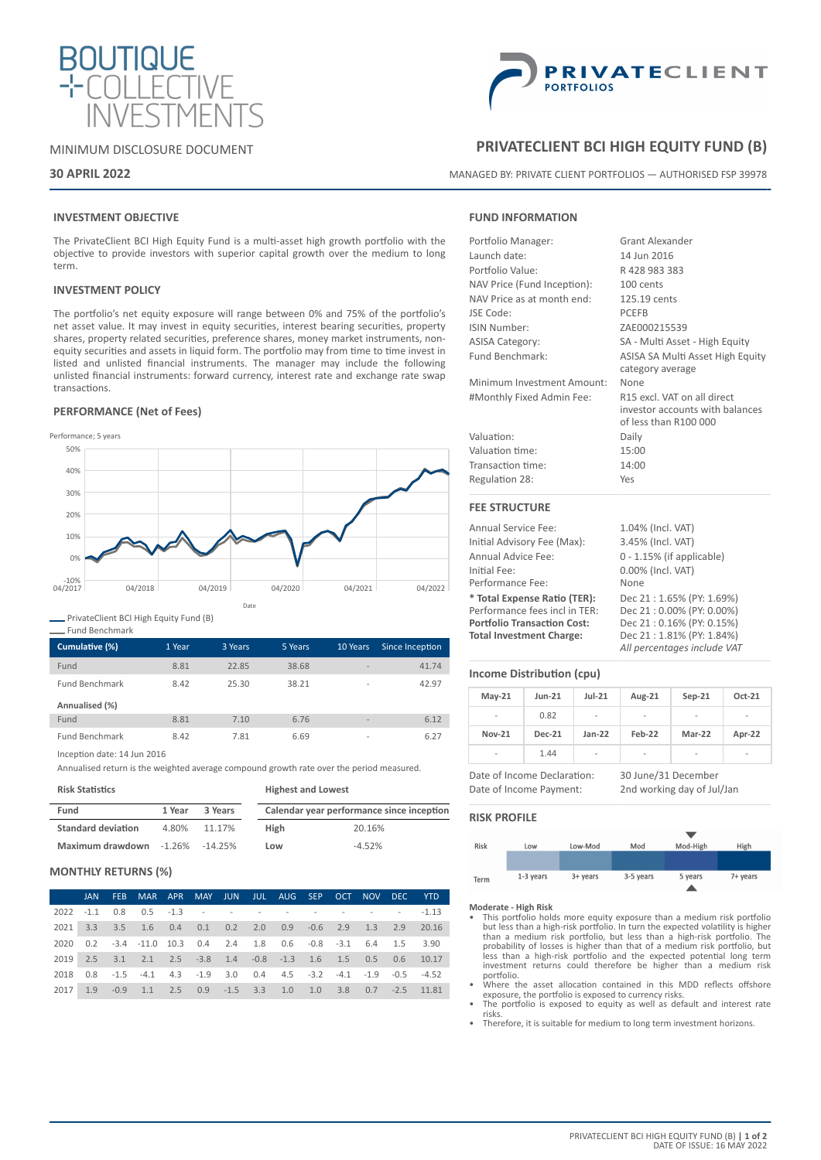

# MINIMUM DISCLOSURE DOCUMENT

# **30 APRIL 2022**



# **PRIVATECLIENT BCI HIGH EQUITY FUND (B)**

MANAGED BY: PRIVATE CLIENT PORTFOLIOS — AUTHORISED FSP 39978

# **INVESTMENT OBJECTIVE**

The PrivateClient BCI High Equity Fund is a multi-asset high growth portfolio with the objective to provide investors with superior capital growth over the medium to long term.

# **INVESTMENT POLICY**

The portfolio's net equity exposure will range between 0% and 75% of the portfolio's net asset value. It may invest in equity securities, interest bearing securities, property shares, property related securities, preference shares, money market instruments, nonequity securities and assets in liquid form. The portfolio may from time to time invest in listed and unlisted financial instruments. The manager may include the following unlisted financial instruments: forward currency, interest rate and exchange rate swap transactions.

# **PERFORMANCE (Net of Fees)**



PrivateClient BCI High Equity Fund (B)

| Cumulative (%)        | 1 Year | 3 Years | 5 Years | 10 Years                 | Since Inception |
|-----------------------|--------|---------|---------|--------------------------|-----------------|
| Fund                  | 8.81   | 22.85   | 38.68   | $\overline{\phantom{a}}$ | 41.74           |
| <b>Fund Benchmark</b> | 8.42   | 25.30   | 38.21   | $\overline{\phantom{a}}$ | 42.97           |
| Annualised (%)        |        |         |         |                          |                 |
| Fund                  | 8.81   | 7.10    | 6.76    | $\overline{\phantom{a}}$ | 6.12            |
| <b>Fund Benchmark</b> | 8.42   | 7.81    | 6.69    | $\overline{\phantom{a}}$ | 6.27            |

Inception date: 14 Jun 2016

Annualised return is the weighted average compound growth rate over the period measured.

**Risk Statistics**

Fund Benchmark

| Fund                      | 1 Year | 3 Years    | Calendar year performance since inception |          |  |  |
|---------------------------|--------|------------|-------------------------------------------|----------|--|--|
| <b>Standard deviation</b> | 4.80%  | 11.17%     | High                                      | 20.16%   |  |  |
| Maximum drawdown -1.26%   |        | $-14.25\%$ | Low                                       | $-4.52%$ |  |  |

**Highest and Lowest**

# **MONTHLY RETURNS (%)**

|      |  |                                                                                        |  |  |  |  | JAN FEB MAR APR MAY JUN JUL AUG SEP OCT NOV DEC YTD I       |
|------|--|----------------------------------------------------------------------------------------|--|--|--|--|-------------------------------------------------------------|
|      |  | 2022 -1.1 0.8 0.5 -1.3 - - - - - - - - - - - -1.13                                     |  |  |  |  |                                                             |
|      |  |                                                                                        |  |  |  |  | 2021 3.3 3.5 1.6 0.4 0.1 0.2 2.0 0.9 -0.6 2.9 1.3 2.9 20.16 |
|      |  | 2020  0.2  -3.4  -11.0  10.3  0.4  2.4  1.8  0.6  -0.8  -3.1  6.4  1.5  3.90           |  |  |  |  |                                                             |
|      |  | 2019  2.5  3.1  2.1  2.5  -3.8  1.4  -0.8  -1.3  1.6  1.5  0.5  0.6  10.17             |  |  |  |  |                                                             |
| 2018 |  | $0.8$ $-1.5$ $-4.1$ $4.3$ $-1.9$ $3.0$ $0.4$ $4.5$ $-3.2$ $-4.1$ $-1.9$ $-0.5$ $-4.52$ |  |  |  |  |                                                             |
| 2017 |  | 1.9 -0.9 1.1 2.5 0.9 -1.5 3.3 1.0 1.0 3.8 0.7 -2.5 11.81                               |  |  |  |  |                                                             |

# **FUND INFORMATION**

| Portfolio Manager:          | <b>Grant Alexander</b>           |  |  |  |  |
|-----------------------------|----------------------------------|--|--|--|--|
| Launch date:                | 14 Jun 2016                      |  |  |  |  |
| Portfolio Value:            | R428983383                       |  |  |  |  |
| NAV Price (Fund Inception): | 100 cents                        |  |  |  |  |
| NAV Price as at month end:  | 125.19 cents                     |  |  |  |  |
| JSE Code:                   | <b>PCEFB</b>                     |  |  |  |  |
| ISIN Number:                | ZAE000215539                     |  |  |  |  |
| <b>ASISA Category:</b>      | SA - Multi Asset - High Equity   |  |  |  |  |
| Fund Benchmark:             | ASISA SA Multi Asset High Equity |  |  |  |  |
|                             | category average                 |  |  |  |  |
| Minimum Investment Amount:  | None                             |  |  |  |  |
| #Monthly Fixed Admin Fee:   | R15 excl. VAT on all direct      |  |  |  |  |
|                             | investor accounts with balances  |  |  |  |  |
|                             | of less than R100 000            |  |  |  |  |
| Valuation:                  | Daily                            |  |  |  |  |
| Valuation time:             | 15:00                            |  |  |  |  |
| Transaction time:           | 14:00                            |  |  |  |  |
| Regulation 28:              | Yes                              |  |  |  |  |
| <b>FEE STRUCTURE</b>        |                                  |  |  |  |  |
| <b>Annual Service Fee:</b>  | 1.04% (Incl. VAT)                |  |  |  |  |

Initial Advisory Fee (Max): 3.45% (Incl. VAT) Annual Advice Fee: 0 - 1.15% (if applicable) Initial Fee: 0.00% (Incl. VAT) Performance Fee: None **\* Total Expense Ratio (TER):** Dec 21 : 1.65% (PY: 1.69%) Performance fees incl in TER: Dec 21 : 0.00% (PY: 0.00%)<br> **Portfolio Transaction Cost:** Dec 21 : 0.16% (PY: 0.15%) **Portfolio Transaction Cost: Total Investment Charge:** Dec 21 : 1.81% (PY: 1.84%) *All percentages include VAT*

# **Income Distribution (cpu)**

| $May-21$       | $Jun-21$      | $Jul-21$       | Aug-21                   | $Sep-21$                 | Oct-21 |
|----------------|---------------|----------------|--------------------------|--------------------------|--------|
| $\overline{a}$ | 0.82          | $\overline{a}$ | -                        | ٠                        | ۰      |
| <b>Nov-21</b>  | <b>Dec-21</b> | $Jan-22$       | Feb-22                   | Mar-22                   | Apr-22 |
| $\overline{a}$ | 1.44          | -              | $\overline{\phantom{a}}$ | $\overline{\phantom{a}}$ | -      |

Date of Income Declaration: 30 June/31 December Date of Income Payment: 2nd working day of Jul/Jan



- **Moderate High Risk** This portfolio holds more equity exposure than a medium risk portfolio but less than a high-risk portfolio. In turn the expected volatility is higher<br>than a medium risk portfolio, but less than a high-risk portfolio. The<br>probability of losses is higher than that of a medium risk portfolio, bu portfolio.
- Where the asset allocation contained in this MDD reflects offshore
- exposure, the portfolio is exposed to currency risks. The portfolio is exposed to equity as well as default and interest rate risks.
- Therefore, it is suitable for medium to long term investment horizons.